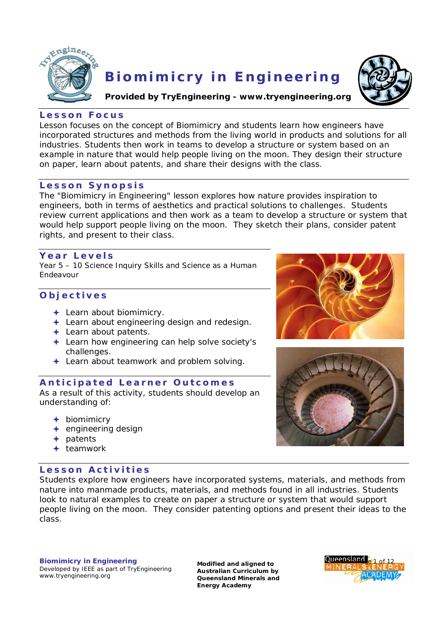



**Provided by TryEngineering - [www.tryengineering.org](http://www.tryengineering.org)**

### **L e s s o n F o c u s**

Lesson focuses on the concept of Biomimicry and students learn how engineers have incorporated structures and methods from the living world in products and solutions for all industries. Students then work in teams to develop a structure or system based on an example in nature that would help people living on the moon. They design their structure on paper, learn about patents, and share their designs with the class.

### Lesson Synopsis

The "Biomimicry in Engineering" lesson explores how nature provides inspiration to engineers, both in terms of aesthetics and practical solutions to challenges. Students review current applications and then work as a team to develop a structure or system that would help support people living on the moon. They sketch their plans, consider patent rights, and present to their class.

### **Y e a r L e v e l s**

Year 5 – 10 Science Inquiry Skills and Science as a Human Endeavour

## **O b j e c t i v e s**

- ← Learn about biomimicry.
- $\triangleq$  Learn about engineering design and redesign.
- + Learn about patents.
- Learn how engineering can help solve society's challenges.
- + Learn about teamwork and problem solving.

### **A n t i c i p a t e d L e a r n e r O u t c o m e s**

As a result of this activity, students should develop an understanding of:

- biomimicry
- $+$  engineering design
- $+$  patents
- $+$  teamwork

## **L e s s o n A c t i v i t i e s**

Students explore how engineers have incorporated systems, materials, and methods from nature into manmade products, materials, and methods found in all industries. Students look to natural examples to create on paper a structure or system that would support people living on the moon. They consider patenting options and present their ideas to the class.

**Biomimicry in Engineering** Developed by IEEE as part of TryEngineering [www.tryengineering.org](http://www.tryengineering.org)





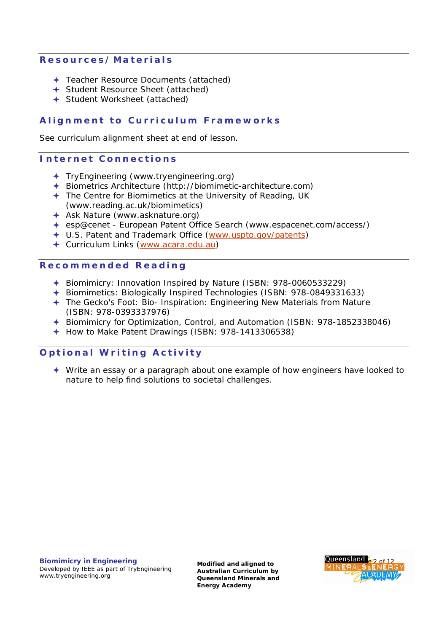## **R e s o u r c e s / M a t e r i a l s**

- Teacher Resource Documents (attached)
- Student Resource Sheet (attached)
- Student Worksheet (attached)

## **Alignment to Curriculum Frameworks**

See curriculum alignment sheet at end of lesson.

## **Internet Connections**

- TryEngineering ([www.tryengineering.org\)](http://www.tryengineering.org))
- Biometrics Architecture ([http://biomimetic-architecture.com\)](http://biomimetic-architecture.com))
- The Centre for Biomimetics at the University of Reading, UK [\(www.reading.ac.uk/biomimetics\)](http://www.reading.ac.uk/biomimetics))
- Ask Nature ([www.asknature.org\)](http://www.asknature.org))
- esp@cenet European Patent Office Search ([www.espacenet.com/access/\)](http://www.espacenet.com/access/))
- U.S. Patent and Trademark Office [\(www.uspto.gov/patents\)](http://www.uspto.gov/patents))
- Curriculum Links [\(www.acara.edu.au\)](http://www.acara.edu.au))

#### **R e c o m m e n d e d R e a d i n g**

- Biomimicry: Innovation Inspired by Nature (ISBN: 978-0060533229)
- Biomimetics: Biologically Inspired Technologies (ISBN: 978-0849331633)
- The Gecko's Foot: Bio- Inspiration: Engineering New Materials from Nature (ISBN: 978-0393337976)
- Biomimicry for Optimization, Control, and Automation (ISBN: 978-1852338046)
- ← How to Make Patent Drawings (ISBN: 978-1413306538)

### **Optional Writing Activity**

 Write an essay or a paragraph about one example of how engineers have looked to nature to help find solutions to societal challenges.

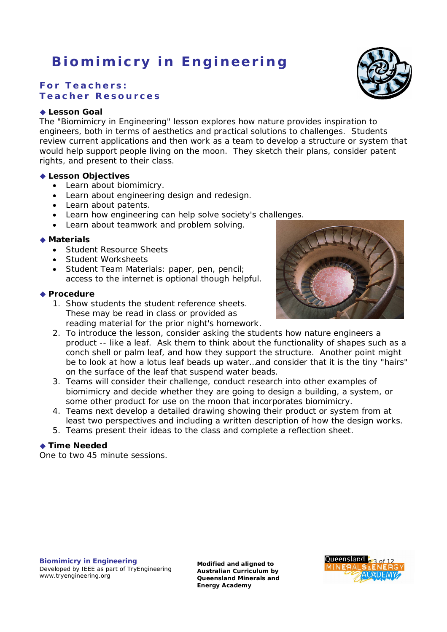## **For Teachers: T e a c h e r R e s o u r c e s**

### **Lesson Goal**

The "Biomimicry in Engineering" lesson explores how nature provides inspiration to engineers, both in terms of aesthetics and practical solutions to challenges. Students review current applications and then work as a team to develop a structure or system that would help support people living on the moon. They sketch their plans, consider patent rights, and present to their class.

#### **Lesson Objectives**

- Learn about biomimicry.
- Learn about engineering design and redesign.
- Learn about patents.
- Learn how engineering can help solve society's challenges.
- Learn about teamwork and problem solving.

### **Materials**

- Student Resource Sheets
- Student Worksheets
- Student Team Materials: paper, pen, pencil; access to the internet is optional though helpful.

#### **Procedure**

- 1. Show students the student reference sheets. These may be read in class or provided as reading material for the prior night's homework.
- 2. To introduce the lesson, consider asking the students how nature engineers a product -- like a leaf. Ask them to think about the functionality of shapes such as a conch shell or palm leaf, and how they support the structure. Another point might be to look at how a lotus leaf beads up water…and consider that it is the tiny "hairs" on the surface of the leaf that suspend water beads.
- 3. Teams will consider their challenge, conduct research into other examples of biomimicry and decide whether they are going to design a building, a system, or some other product for use on the moon that incorporates biomimicry.
- 4. Teams next develop a detailed drawing showing their product or system from at least two perspectives and including a written description of how the design works.
- 5. Teams present their ideas to the class and complete a reflection sheet.

#### ◆ Time Needed

One to two 45 minute sessions.

**Biomimicry in Engineering** Developed by IEEE as part of TryEngineering [www.tryengineering.org](http://www.tryengineering.org)





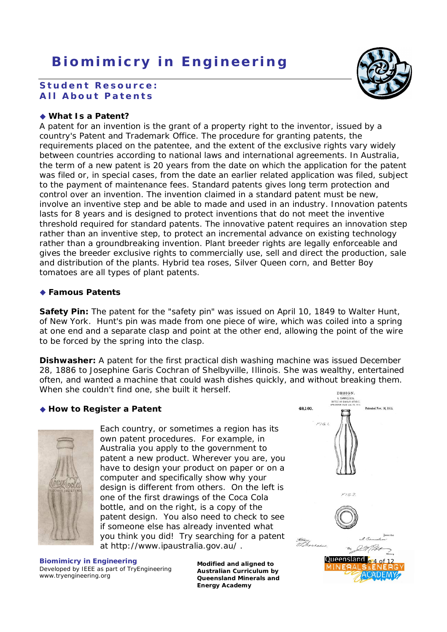## Student Resource: **All About Patents**



A patent for an invention is the grant of a property right to the inventor, issued by a country's Patent and Trademark Office. The procedure for granting patents, the requirements placed on the patentee, and the extent of the exclusive rights vary widely between countries according to national laws and international agreements. In Australia, the term of a new patent is 20 years from the date on which the application for the patent was filed or, in special cases, from the date an earlier related application was filed, subject to the payment of maintenance fees. *Standard patents* gives long term protection and control over an invention. The invention claimed in a standard patent must be new, involve an inventive step and be able to made and used in an industry. *Innovation patents* lasts for 8 years and is designed to protect inventions that do not meet the inventive threshold required for standard patents. The innovative patent requires an innovation step rather than an inventive step, to protect an incremental advance on existing technology rather than a groundbreaking invention. *Plant breeder rights* are legally enforceable and gives the breeder exclusive rights to commercially use, sell and direct the production, sale and distribution of the plants. Hybrid tea roses, Silver Queen corn, and Better Boy tomatoes are all types of plant patents.

## **Famous Patents**

**Safety Pin:** The patent for the "safety pin" was issued on April 10, 1849 to Walter Hunt, of New York. Hunt's pin was made from one piece of wire, which was coiled into a spring at one end and a separate clasp and point at the other end, allowing the point of the wire to be forced by the spring into the clasp.

**Dishwasher:** A patent for the first practical dish washing machine was issued December 28, 1886 to Josephine Garis Cochran of Shelbyville, Illinois. She was wealthy, entertained often, and wanted a machine that could wash dishes quickly, and without breaking them. When she couldn't find one, she built it herself. DESIGN

### ◆ How to Register a Patent



Each country, or sometimes a region has its own patent procedures. For example, in Australia you apply to the government to patent a new product. Wherever you are, you have to design your product on paper or on a computer and specifically show why your design is different from others. On the left is one of the first drawings of the Coca Cola bottle, and on the right, is a copy of the patent design. You also need to check to see if someone else has already invented what you think you did! Try searching for a patent at <http://www.ipaustralia.gov.au/>.

48.160 Patented Nov. 16, 1915.  $16.2$ .<br>Thiness,<br>The Morrassis

**Biomimicry in Engineering** Developed by IEEE as part of TryEngineering [www.tryengineering.org](http://www.tryengineering.org)

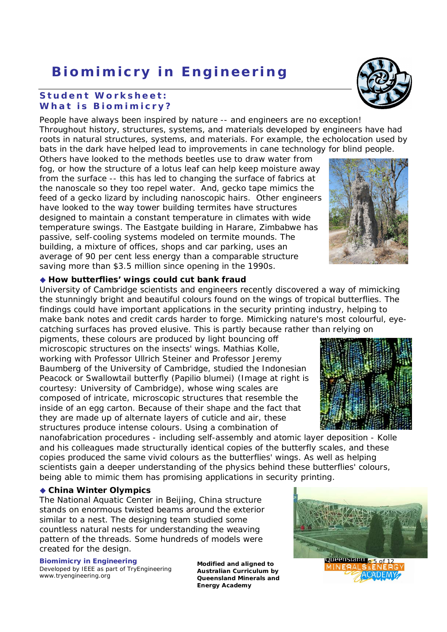## Student Worksheet: What is Biomimicry?

People have always been inspired by nature -- and engineers are no exception! Throughout history, structures, systems, and materials developed by engineers have had roots in natural structures, systems, and materials. For example, the echolocation used by bats in the dark have helped lead to improvements in cane technology for blind people.

Others have looked to the methods beetles use to draw water from fog, or how the structure of a lotus leaf can help keep moisture away from the surface -- this has led to changing the surface of fabrics at the nanoscale so they too repel water. And, gecko tape mimics the feed of a gecko lizard by including nanoscopic hairs. Other engineers have looked to the way tower building termites have structures designed to maintain a constant temperature in climates with wide temperature swings. The Eastgate building in Harare, Zimbabwe has passive, self-cooling systems modeled on termite mounds. The building, a mixture of offices, shops and car parking, uses an average of 90 per cent less energy than a comparable structure saving more than \$3.5 million since opening in the 1990s.

### **How butterflies' wings could cut bank fraud**

University of Cambridge scientists and engineers recently discovered a way of mimicking the stunningly bright and beautiful colours found on the wings of tropical butterflies. The findings could have important applications in the security printing industry, helping to make bank notes and credit cards harder to forge. Mimicking nature's most colourful, eyecatching surfaces has proved elusive. This is partly because rather than relying on

pigments, these colours are produced by light bouncing off microscopic structures on the insects' wings. Mathias Kolle, working with Professor Ullrich Steiner and Professor Jeremy Baumberg of the University of Cambridge, studied the Indonesian Peacock or Swallowtail butterfly (*Papilio blumei*) (Image at right is courtesy: University of Cambridge), whose wing scales are composed of intricate, microscopic structures that resemble the inside of an egg carton. Because of their shape and the fact that they are made up of alternate layers of cuticle and air, these structures produce intense colours. Using a combination of

nanofabrication procedures - including self-assembly and atomic layer deposition - Kolle and his colleagues made structurally identical copies of the butterfly scales, and these copies produced the same vivid colours as the butterflies' wings. As well as helping scientists gain a deeper understanding of the physics behind these butterflies' colours, being able to mimic them has promising applications in security printing.

#### **China Winter Olympics**

The National Aquatic Center in Beijing, China structure stands on enormous twisted beams around the exterior similar to a nest. The designing team studied some countless natural nests for understanding the weaving pattern of the threads. Some hundreds of models were created for the design.

### **Biomimicry in Engineering 2008 and 2008 120 and 2ligned to 120 and 2008 120 and 2008 120 and 2008 120 and 2008 120 and 2008 120 and 2008 120 and 2008 120 and 2008 120 and 2008 120 and 2008 120 and 2008 120 and 2008 120 an**

Developed by IEEE as part of TryEngineering [www.tryengineering.org](http://www.tryengineering.org)







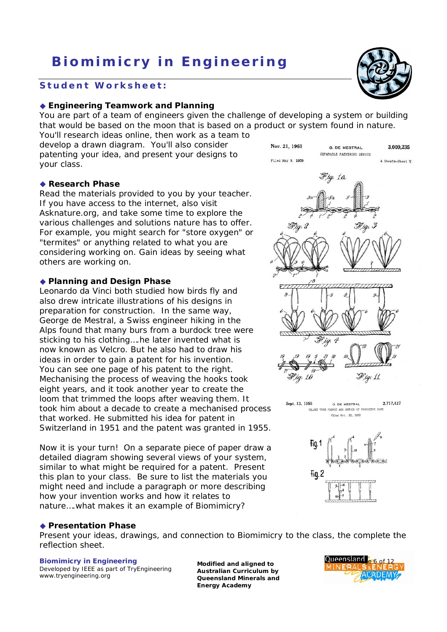## Student Worksheet:

#### **Engineering Teamwork and Planning**

You are part of a team of engineers given the challenge of developing a system or building that would be based on the moon that is based on a product or system found in nature.

You'll research ideas online, then work as a team to develop a drawn diagram. You'll also consider patenting your idea, and present your designs to your class.

#### Nov. 21, 1961 **G. DE MESTRAL** SEPARABLE FASTENING DEVICE Filed May 9, 1958

Fig. 2

 $\mathscr{F}$ tą, 1a

### **Research Phase**

Read the materials provided to you by your teacher. If you have access to the internet, also visit Asknature.org, and take some time to explore the various challenges and solutions nature has to offer. For example, you might search for "store oxygen" or "termites" or anything related to what you are considering working on. Gain ideas by seeing what others are working on.

### **Planning and Design Phase**

Leonardo da Vinci both studied how birds fly and also drew intricate illustrations of his designs in preparation for construction. In the same way, George de Mestral, a Swiss engineer hiking in the Alps found that many burs from a burdock tree were sticking to his clothing….he later invented what is now known as Velcro. But he also had to draw his ideas in order to gain a patent for his invention. You can see one page of his patent to the right. Mechanising the process of weaving the hooks took eight years, and it took another year to create the loom that trimmed the loops after weaving them. It took him about a decade to create a mechanised process that worked. He submitted his idea for patent in Switzerland in 1951 and the patent was granted in 1955.

Now it is your turn! On a separate piece of paper draw a detailed diagram showing several views of your system, similar to what might be required for a patent. Present this plan to your class. Be sure to list the materials you might need and include a paragraph or more describing how your invention works and how it relates to nature….what makes it an example of Biomimicry?

#### **Presentation Phase**

Present your ideas, drawings, and connection to Biomimicry to the class, the complete the reflection sheet.

## **Biomimicry in Engineering <b>Page 12** of 12 of 12 of 12 of 12 of 12 of 12 of 12 of 12 of 12 of 12 of 12 of 12 of 12 of 12 of 12 of 12 of 12 of 12 of 12 of 12 of 12 of 12 of 12 of 12 of 12 of 12 of 12 of 12 of 12 of 12 of 12

Developed by IEEE as part of TryEngineering [www.tryengineering.org](http://www.tryengineering.org)

**Modified and aligned to Australian Curriculum by Queensland Minerals and Energy Academy**



Fig. 4







3.009.235

4 Sheets-Sheet 2

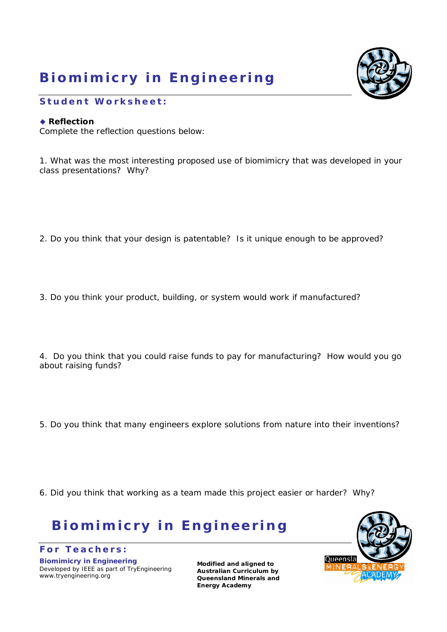

## Student Worksheet:

### **◆ Reflection**

Complete the reflection questions below:

1. What was the most interesting proposed use of biomimicry that was developed in your class presentations? Why?

- 2. Do you think that your design is patentable? Is it unique enough to be approved?
- 3. Do you think your product, building, or system would work if manufactured?
- 4. Do you think that you could raise funds to pay for manufacturing? How would you go about raising funds?
- 5. Do you think that many engineers explore solutions from nature into their inventions?
- 6. Did you think that working as a team made this project easier or harder? Why?

## **Biomimicry in Engineering**

**Biomimicry in Engineering 2 of 12 of 12 of 12 of 12 of 12 of 12 of 12 of 12 of 12 of 12 of 12 of 12 of 12 of 12 of 12 of 12 of 12 of 12 of 12 of 12 of 12 of 12 of 12 of 12 of 12 of 12 of 12 of 12 of 12 of 12 of 12 of 12 o** Developed by IEEE as part of TryEngineering [www.tryengineering.org](http://www.tryengineering.org) **For Teachers:** 

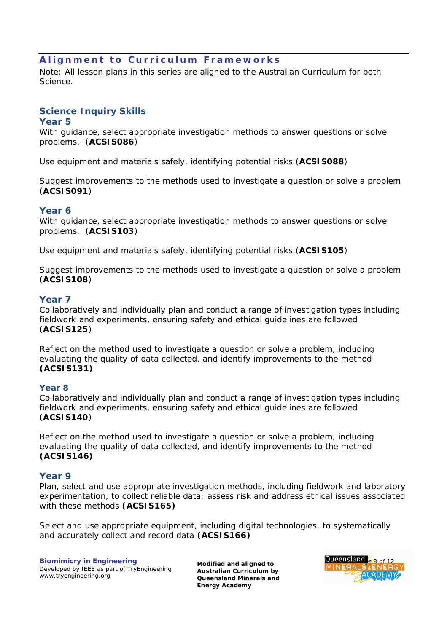## **Alignment to Curriculum Frameworks**

Note: All lesson plans in this series are aligned to the Australian Curriculum for both Science.

## **Science Inquiry Skills**

### **Year 5**

With guidance, select appropriate investigation methods to answer questions or solve problems. (**ACSIS086**)

Use equipment and materials safely, identifying potential risks (**ACSIS088**)

Suggest improvements to the methods used to investigate a question or solve a problem (**ACSIS091**)

## **Year 6**

With guidance, select appropriate investigation methods to answer questions or solve problems. (**ACSIS103**)

Use equipment and materials safely, identifying potential risks (**ACSIS105**)

Suggest improvements to the methods used to investigate a question or solve a problem (**ACSIS108**)

## **Year 7**

Collaboratively and individually plan and conduct a range of investigation types including fieldwork and experiments, ensuring safety and ethical guidelines are followed (**ACSIS125**)

Reflect on the method used to investigate a question or solve a problem, including evaluating the quality of data collected, and identify improvements to the method **(ACSIS131)**

### **Year 8**

Collaboratively and individually plan and conduct a range of investigation types including fieldwork and experiments, ensuring safety and ethical guidelines are followed (**ACSIS140**)

Reflect on the method used to investigate a question or solve a problem, including evaluating the quality of data collected, and identify improvements to the method **(ACSIS146)**

## **Year 9**

Plan, select and use appropriate investigation methods, including fieldwork and laboratory experimentation, to collect reliable data; assess risk and address ethical issues associated with these methods **(ACSIS165)**

Select and use appropriate equipment, including digital technologies, to systematically and accurately collect and record data **(ACSIS166)**

**Biomimicry in Engineering 2 of 2 of 12 of 12 of 12 of 12 of 12 of 12 of 12 of 12 of 12 of 12 of 12 of 12 of 12 of 12 of 12 of 12 of 12 of 12 of 12 of 12 of 12 of 12 of 12 of 12 of 12 of 12 of 12 of 12 of 12 of 12 of 12 of** Developed by IEEE as part of TryEngineering [www.tryengineering.org](http://www.tryengineering.org)

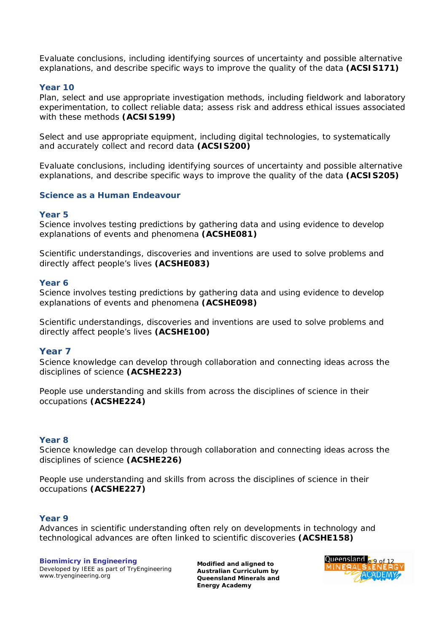Evaluate conclusions, including identifying sources of uncertainty and possible alternative explanations, and describe specific ways to improve the quality of the data **(ACSIS171)**

#### **Year 10**

Plan, select and use appropriate investigation methods, including fieldwork and laboratory experimentation, to collect reliable data; assess risk and address ethical issues associated with these methods **(ACSIS199)**

Select and use appropriate equipment, including digital technologies, to systematically and accurately collect and record data **(ACSIS200)**

Evaluate conclusions, including identifying sources of uncertainty and possible alternative explanations, and describe specific ways to improve the quality of the data **(ACSIS205)**

#### **Science as a Human Endeavour**

#### **Year 5**

Science involves testing predictions by gathering data and using evidence to develop explanations of events and phenomena **(ACSHE081)**

Scientific understandings, discoveries and inventions are used to solve problems and directly affect people's lives **(ACSHE083)**

#### **Year 6**

Science involves testing predictions by gathering data and using evidence to develop explanations of events and phenomena **(ACSHE098)**

Scientific understandings, discoveries and inventions are used to solve problems and directly affect people's lives **(ACSHE100)**

#### **Year 7**

Science knowledge can develop through collaboration and connecting ideas across the disciplines of science **(ACSHE223)**

People use understanding and skills from across the disciplines of science in their occupations **(ACSHE224)**

#### **Year 8**

Science knowledge can develop through collaboration and connecting ideas across the disciplines of science **(ACSHE226)**

People use understanding and skills from across the disciplines of science in their occupations **(ACSHE227)**

#### **Year 9**

Advances in scientific understanding often rely on developments in technology and technological advances are often linked to scientific discoveries **(ACSHE158)**

**Biomimicry in Engineering 2 of 12 of 12 of 12 of 12 of 12 of 12 of 12 of 12 of 12 of 12 of 12 of 12 of 12 of 12 of 12 of 12 of 12 of 12 of 12 of 12 of 12 of 12 of 12 of 12 of 12 of 12 of 12 of 12 of 12 of 12 of 12 of 12 o** Developed by IEEE as part of TryEngineering [www.tryengineering.org](http://www.tryengineering.org)

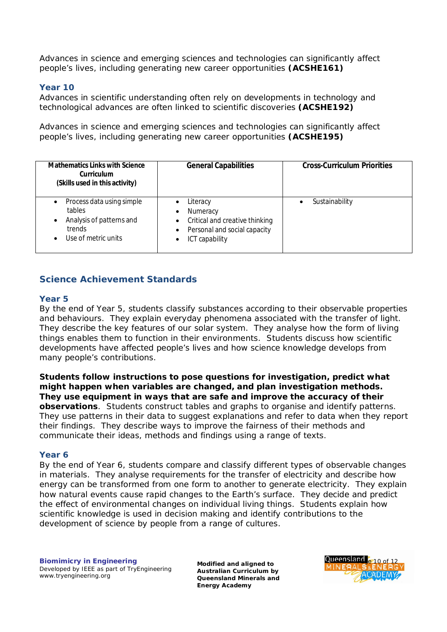Advances in science and emerging sciences and technologies can significantly affect people's lives, including generating new career opportunities **(ACSHE161)**

### **Year 10**

Advances in scientific understanding often rely on developments in technology and technological advances are often linked to scientific discoveries **(ACSHE192)**

Advances in science and emerging sciences and technologies can significantly affect people's lives, including generating new career opportunities **(ACSHE195)**

| <b>Mathematics Links with Science</b><br>Curriculum<br>(Skills used in this activity)                                                   | <b>General Capabilities</b>                                                                              | <b>Cross-Curriculum Priorities</b> |
|-----------------------------------------------------------------------------------------------------------------------------------------|----------------------------------------------------------------------------------------------------------|------------------------------------|
| Process data using simple<br>$\bullet$<br>tables<br>Analysis of patterns and<br>$\bullet$<br>trends<br>Use of metric units<br>$\bullet$ | Literacy<br>Numeracy<br>Critical and creative thinking<br>Personal and social capacity<br>ICT capability | Sustainability                     |

## **Science Achievement Standards**

### **Year 5**

By the end of Year 5, students classify substances according to their observable properties and behaviours. They explain everyday phenomena associated with the transfer of light. They describe the key features of our solar system. They analyse how the form of living things enables them to function in their environments. Students discuss how scientific developments have affected people's lives and how science knowledge develops from many people's contributions.

*Students follow instructions to pose questions for investigation, predict what might happen when variables are changed, and plan investigation methods. They use equipment in ways that are safe and improve the accuracy of their observations*. Students construct tables and graphs to organise and identify patterns. They use patterns in their data to suggest explanations and refer to data when they report their findings. They describe ways to improve the fairness of their methods and communicate their ideas, methods and findings using a range of texts.

#### **Year 6**

By the end of Year 6, students compare and classify different types of observable changes in materials. They analyse requirements for the transfer of electricity and describe how energy can be transformed from one form to another to generate electricity. They explain how natural events cause rapid changes to the Earth's surface. They decide and predict the effect of environmental changes on individual living things. Students explain how scientific knowledge is used in decision making and identify contributions to the development of science by people from a range of cultures.

**Biomimicry in Engineering 2008 and 12 of 12 of 12 of 12 of 12 of 12 of 12 of 12 of 12 of 12 of 12 of 12 of 12 of 12 of 12 of 12 of 12 of 12 of 12 of 12 of 12 of 12 of 12 of 12 of 12 of 12 of 12 of 12 of 12 of 12 of 12 of** Developed by IEEE as part of TryEngineering [www.tryengineering.org](http://www.tryengineering.org)

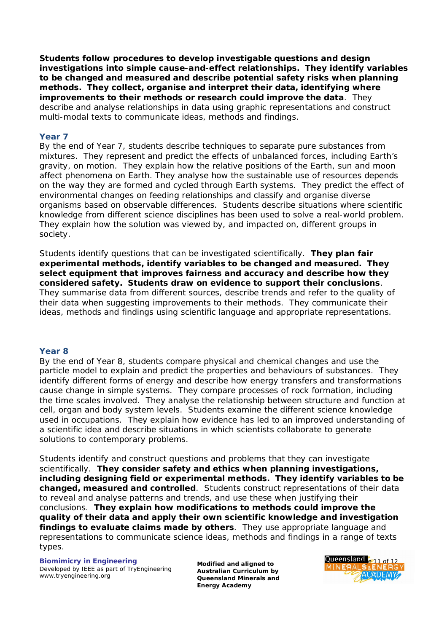*Students follow procedures to develop investigable questions and design investigations into simple cause-and-effect relationships. They identify variables to be changed and measured and describe potential safety risks when planning methods. They collect, organise and interpret their data, identifying where improvements to their methods or research could improve the data*. They describe and analyse relationships in data using graphic representations and construct multi-modal texts to communicate ideas, methods and findings.

### **Year 7**

By the end of Year 7, students describe techniques to separate pure substances from mixtures. They represent and predict the effects of unbalanced forces, including Earth's gravity, on motion. They explain how the relative positions of the Earth, sun and moon affect phenomena on Earth. They analyse how the sustainable use of resources depends on the way they are formed and cycled through Earth systems. They predict the effect of environmental changes on feeding relationships and classify and organise diverse organisms based on observable differences. Students describe situations where scientific knowledge from different science disciplines has been used to solve a real-world problem. They explain how the solution was viewed by, and impacted on, different groups in society.

Students identify questions that can be investigated scientifically. *They plan fair experimental methods, identify variables to be changed and measured. They select equipment that improves fairness and accuracy and describe how they considered safety. Students draw on evidence to support their conclusions*. They summarise data from different sources, describe trends and refer to the quality of their data when suggesting improvements to their methods. They communicate their ideas, methods and findings using scientific language and appropriate representations.

### **Year 8**

By the end of Year 8, students compare physical and chemical changes and use the particle model to explain and predict the properties and behaviours of substances. They identify different forms of energy and describe how energy transfers and transformations cause change in simple systems. They compare processes of rock formation, including the time scales involved. They analyse the relationship between structure and function at cell, organ and body system levels. Students examine the different science knowledge used in occupations. They explain how evidence has led to an improved understanding of a scientific idea and describe situations in which scientists collaborate to generate solutions to contemporary problems.

Students identify and construct questions and problems that they can investigate scientifically. *They consider safety and ethics when planning investigations, including designing field or experimental methods. They identify variables to be changed, measured and controlled*. Students construct representations of their data to reveal and analyse patterns and trends, and use these when justifying their conclusions. *They explain how modifications to methods could improve the quality of their data and apply their own scientific knowledge and investigation findings to evaluate claims made by others*. They use appropriate language and representations to communicate science ideas, methods and findings in a range of texts types.

**Biomimicry in Engineering 11 of 12 of 12 of 12 of 12 of 12 of 12 of 12 of 12 of 12 of 12 of 12 of 12 of 12 of 1**<br>Paysing 11 of 12 of 12 of 12 of 12 of 12 of 12 of 12 of 12 of 12 of 12 of 12 of 12 of 12 of 12 of 12 of 12 o

Developed by IEEE as part of TryEngineering [www.tryengineering.org](http://www.tryengineering.org)